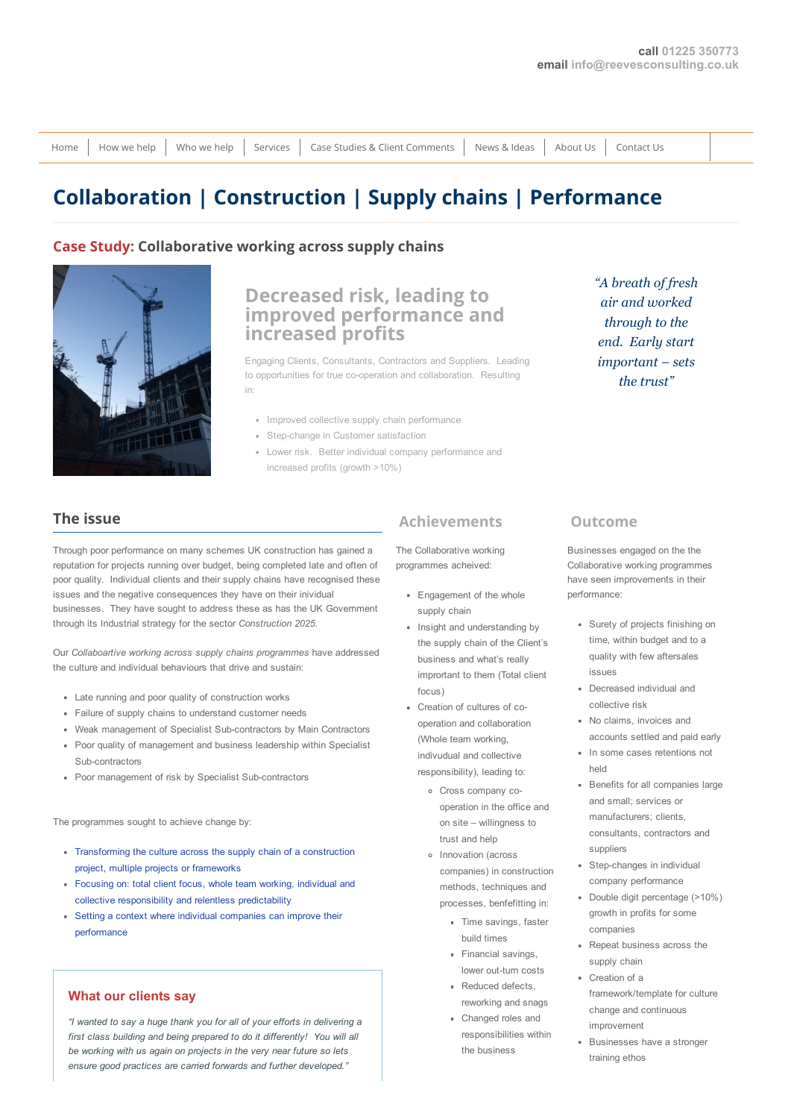[Home](http://www.reevesconsulting.co.uk/) | [How](http://www.reevesconsulting.co.uk/how-we-help/) we help | [Who](http://www.reevesconsulting.co.uk/who-we-help/) we help | [Services](http://www.reevesconsulting.co.uk/services/) | Case Studies & Client [Comments](http://www.reevesconsulting.co.uk/case-studies-client-comments/) | [News](http://www.reevesconsulting.co.uk/news-ideas/) & Ideas | [About](http://www.reevesconsulting.co.uk/about/) Us | [Contact](http://www.reevesconsulting.co.uk/contact-us/) Us

# [Collaboration](http://www.reevesconsulting.co.uk/portfolio/collabortive-working-in-the-supply-chain/) | Construction | Supply chains | Performance

#### Case Study: Collaborative working across supply chains



# Decreased risk, leading to improved performance and increased profits

Engaging Clients, Consultants, Contractors and Suppliers. Leading to opportunities for true co-operation and collaboration. Resulting in:

- Improved collective supply chain performance
- Step-change in Customer satisfaction
- Lower risk. Better individual company performance and increased profits (growth >10%)

## "A breath of fresh air and worked through to the end. Early start important – sets the trust"

#### The issue

Through poor performance on many schemes UK construction has gained a reputation for projects running over budget, being completed late and often of poor quality. Individual clients and their supply chains have recognised these issues and the negative consequences they have on their inividual businesses. They have sought to address these as has the UK Government through its Industrial strategy for the sector *Construction 2025*.

Our *Collaboartive working across supply chains programmes* have addressed the culture and individual behaviours that drive and sustain:

- Late running and poor quality of construction works
- Failure of supply chains to understand customer needs
- Weak management of Specialist Sub-contractors by Main Contractors
- Poor quality of management and business leadership within Specialist Sub-contractors
- Poor management of risk by Specialist Sub-contractors

The programmes sought to achieve change by:

- Transforming the culture across the supply chain of a construction project, multiple projects or frameworks
- Focusing on: total client focus, whole team working, individual and collective responsibility and relentless predictability
- Setting a context where individual companies can improve their performance

#### What our clients say

*"I wanted to say a huge thank you for all of your efforts in delivering a first class building and being prepared to do it differently! You will all be working with us again on projects in the very near future so lets ensure good practices are carried forwards and further developed."*

### Achievements

The Collaborative working programmes acheived:

- Engagement of the whole supply chain
- Insight and understanding by the supply chain of the Client's business and what's really imprortant to them (Total client focus)
- Creation of cultures of cooperation and collaboration (Whole team working, indivudual and collective responsibility), leading to:
	- Cross company cooperation in the office and on site – willingness to trust and help
	- o Innovation (across companies) in construction methods, techniques and processes, benfefitting in:
		- Time savings, faster build times
		- Financial savings, lower out-turn costs
		- Reduced defects reworking and snags
		- Changed roles and responsibilities within the business

#### Outcome

Businesses engaged on the the Collaborative working programmes have seen improvements in their performance:

- Surety of projects finishing on time, within budget and to a quality with few aftersales issues
- Decreased individual and collective risk
- No claims, invoices and accounts settled and paid early
- In some cases retentions not held
- Benefits for all companies large and small; services or manufacturers; clients, consultants, contractors and suppliers
- Step-changes in individual company performance
- Double digit percentage (>10%) growth in profits for some companies
- Repeat business across the supply chain
- Creation of a framework/template for culture change and continuous improvement
- Businesses have a stronger training ethos